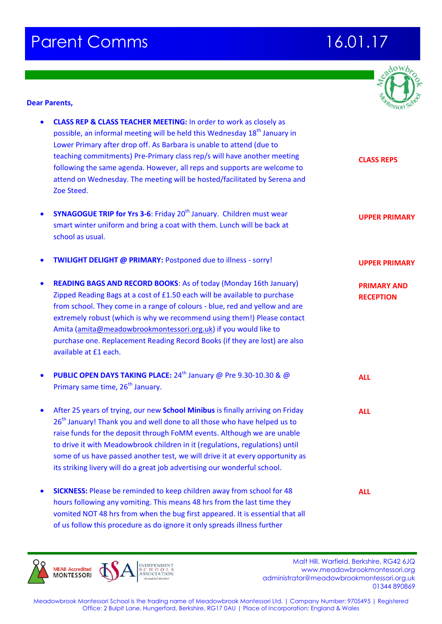## **Parent Comms 16.01.17**



## **Dear Parents,**

| $\bullet$ | <b>CLASS REP &amp; CLASS TEACHER MEETING:</b> In order to work as closely as<br>possible, an informal meeting will be held this Wednesday 18 <sup>th</sup> January in<br>Lower Primary after drop off. As Barbara is unable to attend (due to<br>teaching commitments) Pre-Primary class rep/s will have another meeting<br>following the same agenda. However, all reps and supports are welcome to<br>attend on Wednesday. The meeting will be hosted/facilitated by Serena and<br>Zoe Steed. | <b>CLASS REPS</b>                      |
|-----------|-------------------------------------------------------------------------------------------------------------------------------------------------------------------------------------------------------------------------------------------------------------------------------------------------------------------------------------------------------------------------------------------------------------------------------------------------------------------------------------------------|----------------------------------------|
| $\bullet$ | <b>SYNAGOGUE TRIP for Yrs 3-6: Friday 20<sup>th</sup> January. Children must wear</b><br>smart winter uniform and bring a coat with them. Lunch will be back at<br>school as usual.                                                                                                                                                                                                                                                                                                             | <b>UPPER PRIMARY</b>                   |
| $\bullet$ | <b>TWILIGHT DELIGHT @ PRIMARY: Postponed due to illness - sorry!</b>                                                                                                                                                                                                                                                                                                                                                                                                                            | <b>UPPER PRIMARY</b>                   |
| $\bullet$ | <b>READING BAGS AND RECORD BOOKS: As of today (Monday 16th January)</b><br>Zipped Reading Bags at a cost of £1.50 each will be available to purchase<br>from school. They come in a range of colours - blue, red and yellow and are<br>extremely robust (which is why we recommend using them!) Please contact<br>Amita (amita@meadowbrookmontessori.org.uk) if you would like to<br>purchase one. Replacement Reading Record Books (if they are lost) are also<br>available at £1 each.        | <b>PRIMARY AND</b><br><b>RECEPTION</b> |
| $\bullet$ | PUBLIC OPEN DAYS TAKING PLACE: 24 <sup>th</sup> January @ Pre 9.30-10.30 & @<br>Primary same time, 26 <sup>th</sup> January.                                                                                                                                                                                                                                                                                                                                                                    | <b>ALL</b>                             |
| $\bullet$ | After 25 years of trying, our new School Minibus is finally arriving on Friday<br>26 <sup>th</sup> January! Thank you and well done to all those who have helped us to<br>raise funds for the deposit through FoMM events. Although we are unable<br>to drive it with Meadowbrook children in it (regulations, regulations) until<br>some of us have passed another test, we will drive it at every opportunity as<br>its striking livery will do a great job advertising our wonderful school. | <b>ALL</b>                             |
| $\bullet$ | <b>SICKNESS:</b> Please be reminded to keep children away from school for 48<br>hours following any vomiting. This means 48 hrs from the last time they<br>vomited NOT 48 hrs from when the bug first appeared. It is essential that all<br>of us follow this procedure as do ignore it only spreads illness further                                                                                                                                                                            | <b>ALL</b>                             |

Malt Hill, Warfield, Berkshire, RG42 6JQ<br>MONTESSORI ASSOCIATION<br>MONTESSORI ASSOCIATION<br>MONTESSORI ASSOCIATION www.meadowbrookmontessori.org [administrator@meadowbrookmontessori.org.uk](mailto:administrator@meadowbrookmontessori.org.uk) 01344 890869

Meadowbrook Montessori School is the trading name of Meadowbrook Montessori Ltd. | Company Number: 9705495 | Registered Office: 2 Bulpit Lane, Hungerford, Berkshire, RG17 0AU | Place of Incorporation: England & Wales